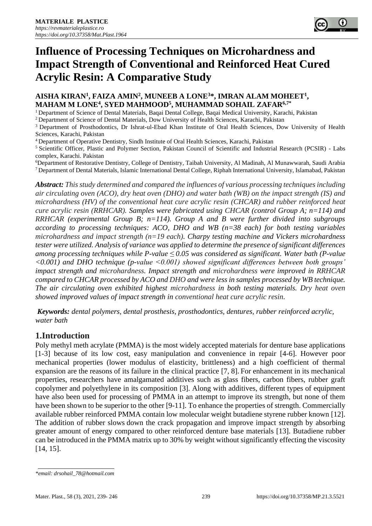# **Influence of Processing Techniques on Microhardness and Impact Strength of Conventional and Reinforced Heat Cured Acrylic Resin: A Comparative Study**

# AISHA KIRAN<sup>1</sup>, FAIZA AMIN<sup>2</sup>, MUNEEB A LONE<sup>3\*</sup>, IMRAN ALAM MOHEET<sup>1</sup>, **MAHAM M LONE<sup>4</sup> , SYED MAHMOOD<sup>5</sup> , MUHAMMAD SOHAIL ZAFAR6,7\***

<sup>1</sup> Department of Science of Dental Materials, Baqai Dental College, Baqai Medical University, Karachi, Pakistan

<sup>2</sup> Department of Science of Dental Materials, Dow University of Health Sciences, Karachi, Pakistan

<sup>3</sup> Department of Prosthodontics, Dr Ishrat-ul-Ebad Khan Institute of Oral Health Sciences, Dow University of Health Sciences, Karachi, Pakistan

<sup>4</sup>Department of Operative Dentistry, Sindh Institute of Oral Health Sciences, Karachi, Pakistan

<sup>5</sup> Scientific Officer, Plastic and Polymer Section, Pakistan Council of Scientific and Industrial Research (PCSIR) - Labs complex, Karachi. Pakistan

<sup>6</sup>Department of Restorative Dentistry, College of Dentistry, Taibah University, Al Madinah, Al Munawwarah, Saudi Arabia <sup>7</sup>Department of Dental Materials, Islamic International Dental College, Riphah International University, Islamabad, Pakistan

*Abstract: This study determined and compared the influences of various processing techniques including air circulating oven (ACO), dry heat oven (DHO) and water bath (WB) on the impact strength (IS) and microhardness (HV) of the conventional heat cure acrylic resin (CHCAR) and rubber reinforced heat cure acrylic resin (RRHCAR). Samples were fabricated using CHCAR (control Group A; n=114) and RRHCAR (experimental Group B; n=114). Group A and B were further divided into subgroups according to processing techniques: ACO, DHO and WB (n=38 each) for both testing variables microhardness and impact strength (n=19 each). Charpy testing machine and Vickers microhardness tester were utilized. Analysis of variance was applied to determine the presence of significant differences among processing techniques while P-value ≤ 0.05 was considered as significant. Water bath (P-value <0.001) and DHO technique (p-value <0.001) showed significant differences between both groups' impact strength and microhardness. Impact strength and microhardness were improved in RRHCAR compared to CHCAR processed by ACO and DHO and were less in samples processed by WB technique. The air circulating oven exhibited highest microhardness in both testing materials. Dry heat oven showed improved values of impact strength in conventional heat cure acrylic resin.*

*Keywords: dental polymers, dental prosthesis, prosthodontics, dentures, rubber reinforced acrylic, water bath*

# **1.Introduction**

Poly methyl meth acrylate (PMMA) is the most widely accepted materials for denture base applications [1-3] because of its low cost, easy manipulation and convenience in repair [4-6]. However poor mechanical properties (lower modulus of elasticity, brittleness) and a high coefficient of thermal expansion are the reasons of its failure in the clinical practice [7, 8]. For enhancement in its mechanical properties, researchers have amalgamated additives such as glass fibers, carbon fibers, rubber graft copolymer and polyethylene in its composition [3]. Along with additives, different types of equipment have also been used for processing of PMMA in an attempt to improve its strength, but none of them have been shown to be superior to the other [9-11]. To enhance the properties of strength. Commercially available rubber reinforced PMMA contain low molecular weight butadiene styrene rubber known [12]. The addition of rubber slows down the crack propagation and improve impact strength by absorbing greater amount of energy compared to other reinforced denture base materials [13]. Butadiene rubber can be introduced in the PMMA matrix up to 30% by weight without significantly effecting the viscosity [14, 15].

*<sup>\*</sup>email[: drsohail\\_78@hotmail.com](mailto:drsohail_78@hotmail.com)*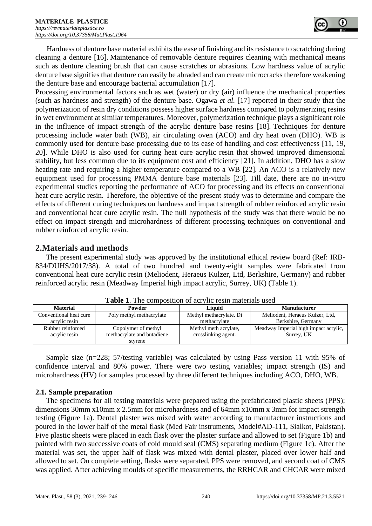Hardness of denture base material exhibits the ease of finishing and its resistance to scratching during cleaning a denture [16]. Maintenance of removable denture requires cleaning with mechanical means such as denture cleaning brush that can cause scratches or abrasions. Low hardness value of acrylic denture base signifies that denture can easily be abraded and can create microcracks therefore weakening the denture base and encourage bacterial accumulation [17].

Processing environmental factors such as wet (water) or dry (air) influence the mechanical properties (such as hardness and strength) of the denture base. Ogawa *et al.* [17] reported in their study that the polymerization of resin dry conditions possess higher surface hardness compared to polymerizing resins in wet environment at similar temperatures. Moreover, polymerization technique plays a significant role in the influence of impact strength of the acrylic denture base resins [18]. Techniques for denture processing include water bath (WB), air circulating oven (ACO) and dry heat oven (DHO). WB is commonly used for denture base processing due to its ease of handling and cost effectiveness [11, 19, 20]. While DHO is also used for curing heat cure acrylic resin that showed improved dimensional stability, but less common due to its equipment cost and efficiency [21]. In addition, DHO has a slow heating rate and requiring a higher temperature compared to a WB [22]. An ACO is a relatively new equipment used for processing PMMA denture base materials [23]. Till date, there are no in-vitro experimental studies reporting the performance of ACO for processing and its effects on conventional heat cure acrylic resin. Therefore, the objective of the present study was to determine and compare the effects of different curing techniques on hardness and impact strength of rubber reinforced acrylic resin and conventional heat cure acrylic resin. The null hypothesis of the study was that there would be no effect on impact strength and microhardness of different processing techniques on conventional and rubber reinforced acrylic resin.

# **2.Materials and methods**

The present experimental study was approved by the institutional ethical review board (Ref: IRB-834/DUHS/2017/38). A total of two hundred and twenty-eight samples were fabricated from conventional heat cure acrylic resin (Meliodent, Heraeus Kulzer, Ltd, Berkshire, Germany) and rubber reinforced acrylic resin (Meadway Imperial high impact acrylic, Surrey, UK) (Table 1).

| <b>Material</b>        | Powder                     | Liauid                  | <b>Manufacturer</b>                   |  |
|------------------------|----------------------------|-------------------------|---------------------------------------|--|
| Conventional heat cure | Poly methyl methacrylate   | Methyl methacrylate, Di | Meliodent, Heraeus Kulzer, Ltd.       |  |
| acrylic resin          |                            | methacrylate            | Berkshire, Germany                    |  |
| Rubber reinforced      | Copolymer of methyl        | Methyl meth acrylate,   | Meadway Imperial high impact acrylic, |  |
| acrylic resin          | methacrylate and butadiene | crosslinking agent.     | Surrey, UK                            |  |
|                        | styrene                    |                         |                                       |  |

**Table 1**. The composition of acrylic resin materials used

Sample size (n=228; 57/testing variable) was calculated by using Pass version 11 with 95% of confidence interval and 80% power. There were two testing variables; impact strength (IS) and microhardness (HV) for samples processed by three different techniques including ACO, DHO, WB.

# **2.1. Sample preparation**

The specimens for all testing materials were prepared using the prefabricated plastic sheets (PPS); dimensions 30mm x10mm x 2.5mm for microhardness and of 64mm x10mm x 3mm for impact strength testing (Figure 1a). Dental plaster was mixed with water according to manufacturer instructions and poured in the lower half of the metal flask (Med Fair instruments, Model#AD-111, Sialkot, Pakistan). Five plastic sheets were placed in each flask over the plaster surface and allowed to set (Figure 1b) and painted with two successive coats of cold mould seal (CMS) separating medium (Figure 1c). After the material was set, the upper half of flask was mixed with dental plaster, placed over lower half and allowed to set. On complete setting, flasks were separated, PPS were removed, and second coat of CMS was applied. After achieving moulds of specific measurements, the RRHCAR and CHCAR were mixed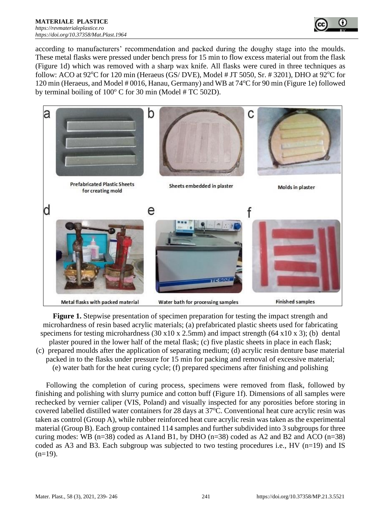

according to manufacturers' recommendation and packed during the doughy stage into the moulds. These metal flasks were pressed under bench press for 15 min to flow excess material out from the flask (Figure 1d) which was removed with a sharp wax knife. All flasks were cured in three techniques as follow: ACO at  $92^{\circ}$ C for 120 min (Heraeus (GS/ DVE), Model # JT 5050, Sr. # 3201), DHO at  $92^{\circ}$ C for 120 min (Heraeus, and Model # 0016, Hanau, Germany) and WB at 74°C for 90 min (Figure 1e) followed by terminal boiling of  $100^{\circ}$  C for 30 min (Model # TC 502D).



**Figure 1.** Stepwise presentation of specimen preparation for testing the impact strength and microhardness of resin based acrylic materials; (a) prefabricated plastic sheets used for fabricating specimens for testing microhardness (30 x10 x 2.5mm) and impact strength (64 x10 x 3); (b) dental plaster poured in the lower half of the metal flask; (c) five plastic sheets in place in each flask; (c) prepared moulds after the application of separating medium; (d) acrylic resin denture base material packed in to the flasks under pressure for 15 min for packing and removal of excessive material; (e) water bath for the heat curing cycle; (f) prepared specimens after finishing and polishing

Following the completion of curing process, specimens were removed from flask, followed by finishing and polishing with slurry pumice and cotton buff (Figure 1f). Dimensions of all samples were rechecked by vernier caliper (VIS, Poland) and visually inspected for any porosities before storing in covered labelled distilled water containers for 28 days at 37°C. Conventional heat cure acrylic resin was taken as control (Group A), while rubber reinforced heat cure acrylic resin was taken as the experimental material (Group B). Each group contained 114 samples and further subdivided into 3 subgroups for three curing modes: WB ( $n=38$ ) coded as A1and B1, by DHO ( $n=38$ ) coded as A2 and B2 and ACO ( $n=38$ ) coded as A3 and B3. Each subgroup was subjected to two testing procedures i.e., HV ( $n=19$ ) and IS  $(n=19)$ .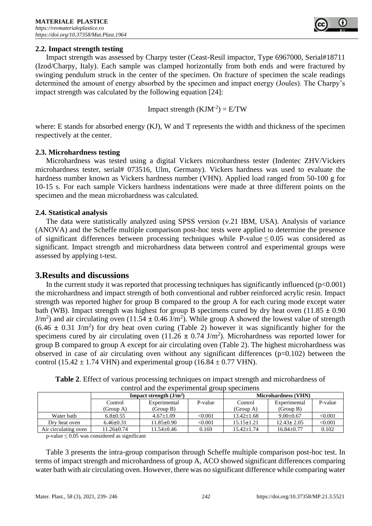#### **2.2. Impact strength testing**

Impact strength was assessed by Charpy tester (Ceast-Resil impactor, Type 6967000, Serial#18711 (Izod/Charpy, Italy). Each sample was clamped horizontally from both ends and were fractured by swinging pendulum struck in the center of the specimen. On fracture of specimen the scale readings determined the amount of energy absorbed by the specimen and impact energy (Joules). The Charpy's impact strength was calculated by the following equation [24]:

Impact strength  $(KJM^{-2}) = E/TW$ 

where: E stands for absorbed energy (KJ), W and T represents the width and thickness of the specimen respectively at the center.

#### **2.3. Microhardness testing**

Microhardness was tested using a digital Vickers microhardness tester (Indentec ZHV/Vickers microhardness tester, serial# 073516, Ulm, Germany). Vickers hardness was used to evaluate the hardness number known as Vickers hardness number (VHN). Applied load ranged from 50-100 g for 10-15 s. For each sample Vickers hardness indentations were made at three different points on the specimen and the mean microhardness was calculated.

#### **2.4. Statistical analysis**

The data were statistically analyzed using SPSS version (v.21 IBM, USA). Analysis of variance (ANOVA) and the Scheffe multiple comparison post-hoc tests were applied to determine the presence of significant differences between processing techniques while P-value  $\leq 0.05$  was considered as significant. Impact strength and microhardness data between control and experimental groups were assessed by applying t-test.

#### **3.Results and discussions**

In the current study it was reported that processing techniques has significantly influenced  $(p<0.001)$ the microhardness and impact strength of both conventional and rubber reinforced acrylic resin. Impact strength was reported higher for group B compared to the group A for each curing mode except water bath (WB). Impact strength was highest for group B specimens cured by dry heat oven  $(11.85 \pm 0.90)$  $J/m<sup>2</sup>$ ) and air circulating oven (11.54  $\pm$  0.46 J/m<sup>2</sup>). While group A showed the lowest value of strength  $(6.46 \pm 0.31 \text{ J/m}^2)$  for dry heat oven curing (Table 2) however it was significantly higher for the specimens cured by air circulating oven  $(11.26 \pm 0.74 \text{ J/m}^2)$ . Microhardness was reported lower for group B compared to group A except for air circulating oven (Table 2). The highest microhardness was observed in case of air circulating oven without any significant differences  $(p=0.102)$  between the control (15.42  $\pm$  1.74 VHN) and experimental group (16.84  $\pm$  0.77 VHN).

| control and the experimental group specimens |                          |                  |         |                            |                  |         |  |  |
|----------------------------------------------|--------------------------|------------------|---------|----------------------------|------------------|---------|--|--|
|                                              | Impact strength $(J/m2)$ |                  |         | <b>Microhardness (VHN)</b> |                  |         |  |  |
|                                              | Control                  | Experimental     | P-value | Control                    | Experimental     | P-value |  |  |
|                                              | (Group A)                | (Group B)        |         | (Group A)                  | (Group B)        |         |  |  |
| Water bath                                   | $6.8 \pm 0.55$           | $4.67 \pm 1.09$  | < 0.001 | $13.42 \pm 1.68$           | $9.00 \pm 0.67$  | < 0.001 |  |  |
| Dry heat oven                                | $6.46 \pm 0.31$          | $11.85 \pm 0.90$ | < 0.001 | $15.15 \pm 1.21$           | $12.43 \pm 2.05$ | < 0.001 |  |  |
| Air circulating oven                         | $11.26 \pm 0.74$         | $11.54 \pm 0.46$ | 0.169   | $15.42 + 1.74$             | $16.84 + 0.77$   | 0.102   |  |  |

|  |  |  |  |  |  |  | Table 2. Effect of various processing techniques on impact strength and microhardness of |
|--|--|--|--|--|--|--|------------------------------------------------------------------------------------------|
|--|--|--|--|--|--|--|------------------------------------------------------------------------------------------|

p-value  $\leq 0.05$  was considered as significant

Table 3 presents the intra-group comparison through Scheffe multiple comparison post-hoc test. In terms of impact strength and microhardness of group A, ACO showed significant differences comparing water bath with air circulating oven. However, there was no significant difference while comparing water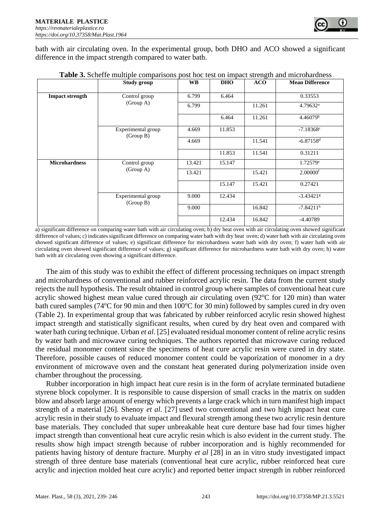bath with air circulating oven. In the experimental group, both DHO and ACO showed a significant difference in the impact strength compared to water bath.

|                        | Study group                     | <b>WB</b> | <b>DHO</b> | <b>ACO</b> | <b>Mean Difference</b>  |
|------------------------|---------------------------------|-----------|------------|------------|-------------------------|
| <b>Impact strength</b> | Control group<br>(Group A)      | 6.799     | 6.464      |            | 0.33553                 |
|                        |                                 | 6.799     |            | 11.261     | $4.79632$ <sup>a</sup>  |
|                        |                                 |           | 6.464      | 11.261     | 4.46079 <sup>b</sup>    |
|                        | Experimental group<br>(Group B) | 4.669     | 11.853     |            | $-7.18368c$             |
|                        |                                 | 4.669     |            | 11.541     | $-6.87158$ <sup>d</sup> |
|                        |                                 |           | 11.853     | 11.541     | 0.31211                 |
| <b>Microhardness</b>   | Control group<br>(Group A)      | 13.421    | 15.147     |            | 1.72579e                |
|                        |                                 | 13.421    |            | 15.421     | $2.00000$ <sup>f</sup>  |
|                        |                                 |           | 15.147     | 15.421     | 0.27421                 |
|                        | Experimental group<br>(Group B) | 9.000     | 12.434     |            | $-3.43421$ <sup>g</sup> |
|                        |                                 | 9.000     |            | 16.842     | $-7.84211$ <sup>h</sup> |
|                        |                                 |           | 12.434     | 16.842     | $-4.40789$              |

**Table 3.** Scheffe multiple comparisons post hoc test on impact strength and microhardness

a) significant difference on comparing water bath with air circulating oven; b) dry heat oven with air circulating oven showed significant difference of values; c) indicates significant difference on comparing water bath with dry heat oven; d) water bath with air circulating oven showed significant difference of values; e) significant difference for microhardness water bath with dry oven; f) water bath with air circulating oven showed significant difference of values; g) significant difference for microhardness water bath with dry oven; h) water bath with air circulating oven showing a significant difference.

The aim of this study was to exhibit the effect of different processing techniques on impact strength and microhardness of conventional and rubber reinforced acrylic resin. The data from the current study rejects the null hypothesis. The result obtained in control group where samples of conventional heat cure acrylic showed highest mean value cured through air circulating oven  $(92^{\circ}C)$  for 120 min) than water bath cured samples (74 $^{\circ}$ C for 90 min and then 100 $^{\circ}$ C for 30 min) followed by samples cured in dry oven (Table 2). In experimental group that was fabricated by rubber reinforced acrylic resin showed highest impact strength and statistically significant results, when cured by dry heat oven and compared with water bath curing technique. Urban *et al.* [25] evaluated residual monomer content of reline acrylic resins by water bath and microwave curing techniques. The authors reported that microwave curing reduced the residual monomer content since the specimens of heat cure acrylic resin were cured in dry state. Therefore, possible causes of reduced monomer content could be vaporization of monomer in a dry environment of microwave oven and the constant heat generated during polymerization inside oven chamber throughout the processing.

Rubber incorporation in high impact heat cure resin is in the form of acrylate terminated butadiene styrene block copolymer. It is responsible to cause dispersion of small cracks in the matrix on sudden blow and absorb large amount of energy which prevents a large crack which in turn manifest high impact strength of a material [26]. Shenoy *et al.* [27] used two conventional and two high impact heat cure acrylic resin in their study to evaluate impact and flexural strength among these two acrylic resin denture base materials. They concluded that super unbreakable heat cure denture base had four times higher impact strength than conventional heat cure acrylic resin which is also evident in the current study. The results show high impact strength because of rubber incorporation and is highly recommended for patients having history of denture fracture. Murphy *et al* [28] in an in vitro study investigated impact strength of three denture base materials (conventional heat cure acrylic, rubber reinforced heat cure acrylic and injection molded heat cure acrylic) and reported better impact strength in rubber reinforced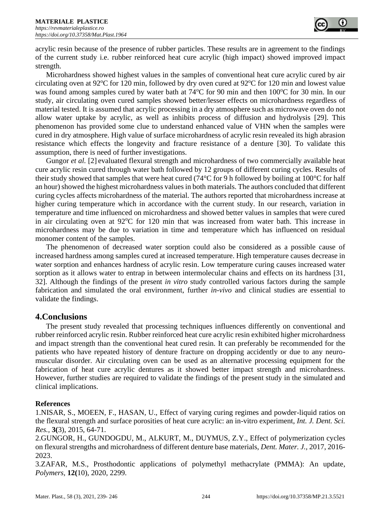acrylic resin because of the presence of rubber particles. These results are in agreement to the findings of the current study i.e. rubber reinforced heat cure acrylic (high impact) showed improved impact strength.

Microhardness showed highest values in the samples of conventional heat cure acrylic cured by air circulating oven at 92 $\degree$ C for 120 min, followed by dry oven cured at 92 $\degree$ C for 120 min and lowest value was found among samples cured by water bath at 74°C for 90 min and then 100°C for 30 min. In our study, air circulating oven cured samples showed better/lesser effects on microhardness regardless of material tested. It is assumed that acrylic processing in a dry atmosphere such as microwave oven do not allow water uptake by acrylic, as well as inhibits process of diffusion and hydrolysis [29]. This phenomenon has provided some clue to understand enhanced value of VHN when the samples were cured in dry atmosphere. High value of surface microhardness of acrylic resin revealed its high abrasion resistance which effects the longevity and fracture resistance of a denture [30]. To validate this assumption, there is need of further investigations.

Gungor *et al.* [2] evaluated flexural strength and microhardness of two commercially available heat cure acrylic resin cured through water bath followed by 12 groups of different curing cycles. Results of their study showed that samples that were heat cured (74°C for 9 h followed by boiling at 100°C for half an hour) showed the highest microhardness values in both materials. The authors concluded that different curing cycles affects microhardness of the material. The authors reported that microhardness increase at higher curing temperature which in accordance with the current study. In our research, variation in temperature and time influenced on microhardness and showed better values in samples that were cured in air circulating oven at  $92^{\circ}$ C for 120 min that was increased from water bath. This increase in microhardness may be due to variation in time and temperature which has influenced on residual monomer content of the samples.

The phenomenon of decreased water sorption could also be considered as a possible cause of increased hardness among samples cured at increased temperature. High temperature causes decrease in water sorption and enhances hardness of acrylic resin. Low temperature curing causes increased water sorption as it allows water to entrap in between intermolecular chains and effects on its hardness [31, 32]. Although the findings of the present *in vitro* study controlled various factors during the sample fabrication and simulated the oral environment, further *in-vivo* and clinical studies are essential to validate the findings.

# **4.Conclusions**

The present study revealed that processing techniques influences differently on conventional and rubber reinforced acrylic resin. Rubber reinforced heat cure acrylic resin exhibited higher microhardness and impact strength than the conventional heat cured resin. It can preferably be recommended for the patients who have repeated history of denture fracture on dropping accidently or due to any neuromuscular disorder. Air circulating oven can be used as an alternative processing equipment for the fabrication of heat cure acrylic dentures as it showed better impact strength and microhardness. However, further studies are required to validate the findings of the present study in the simulated and clinical implications.

# **References**

1.NISAR, S., MOEEN, F., HASAN, U., Effect of varying curing regimes and powder-liquid ratios on the flexural strength and surface porosities of heat cure acrylic: an in-vitro experiment, *Int. J. Dent. Sci. Res.,* **3(**3), 2015, 64-71.

2.GUNGOR, H., GUNDOGDU, M., ALKURT, M., DUYMUS, Z.Y., Effect of polymerization cycles on flexural strengths and microhardness of different denture base materials, *Dent. Mater. J.,* 2017, 2016- 2023.

3.ZAFAR, M.S., Prosthodontic applications of polymethyl methacrylate (PMMA): An update, *Polymers,* **12(**10), 2020, 2299.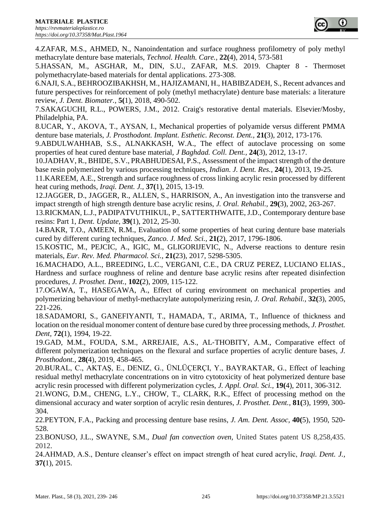4.ZAFAR, M.S., AHMED, N., Nanoindentation and surface roughness profilometry of poly methyl methacrylate denture base materials, *Technol. Health. Care.,* **22(**4), 2014, 573-581

5.HASSAN, M., ASGHAR, M., DIN, S.U., ZAFAR, M.S. 2019. Chapter 8 - Thermoset polymethacrylate-based materials for dental applications. 273-308.

6.NAJI, S.A., BEHROOZIBAKHSH, M., HAJIZAMANI, H., HABIBZADEH, S., Recent advances and future perspectives for reinforcement of poly (methyl methacrylate) denture base materials: a literature review, *J. Dent. Biomater.,* **5(**1), 2018, 490-502.

7.SAKAGUCHI, R.L., POWERS, J.M., 2012. Craig's restorative dental materials. Elsevier/Mosby, Philadelphia, PA.

8.UCAR, Y., AKOVA, T., AYSAN, I., Mechanical properties of polyamide versus different PMMA denture base materials, *J. Prosthodont. Implant. Esthetic. Reconst. Dent.,* **21(**3), 2012, 173-176.

9.ABDULWAHHAB, S.S., ALNAKKASH, W.A., The effect of autoclave processing on some properties of heat cured denture base material, *J Baghdad. Coll. Dent.,* **24(**3), 2012, 13-17.

10.JADHAV, R., BHIDE, S.V., PRABHUDESAI, P.S., Assessment of the impact strength of the denture base resin polymerized by various processing techniques, *Indian. J. Dent. Res.,* **24(**1), 2013, 19-25.

11.KAREEM, A.E., Strength and surface roughness of cross linking acrylic resin processed by different heat curing methods, *Iraqi. Dent. J.,* **37(**1), 2015, 13-19.

12.JAGGER, D., JAGGER, R., ALLEN, S., HARRISON, A., An investigation into the transverse and impact strength of high strength denture base acrylic resins, *J. Oral. Rehabil.,* **29(**3), 2002, 263-267.

13.RICKMAN, L.J., PADIPATVUTHIKUL, P., SATTERTHWAITE, J.D., Contemporary denture base resins: Part 1, *Dent. Update,* **39(**1), 2012, 25-30.

14.BAKR, T.O., AMEEN, R.M., Evaluation of some properties of heat curing denture base materials cured by different curing techniques, *Zanco. J. Med. Sci.,* **21(**2), 2017, 1796-1806.

15.KOSTIC, M., PEJCIC, A., IGIC, M., GLIGORIJEVIC, N., Adverse reactions to denture resin materials, *Eur. Rev. Med. Pharmacol. Sci.,* **21(**23), 2017, 5298-5305.

16.MACHADO, A.L., BREEDING, L.C., VERGANI, C.E., DA CRUZ PEREZ, LUCIANO ELIAS., Hardness and surface roughness of reline and denture base acrylic resins after repeated disinfection procedures, *J. Prosthet. Dent.,* **102(**2), 2009, 115-122.

17.OGAWA, T., HASEGAWA, A., Effect of curing environment on mechanical properties and polymerizing behaviour of methyl‐methacrylate autopolymerizing resin, *J. Oral. Rehabil.,* **32(**3), 2005, 221-226.

18.SADAMORI, S., GANEFIYANTI, T., HAMADA, T., ARIMA, T., Influence of thickness and location on the residual monomer content of denture base cured by three processing methods, *J. Prosthet. Dent,* **72(**1), 1994, 19-22.

19.GAD, M.M., FOUDA, S.M., ARREJAIE, A.S., AL‐THOBITY, A.M., Comparative effect of different polymerization techniques on the flexural and surface properties of acrylic denture bases, *J. Prosthodont.,* **28(**4), 2019, 458-465.

20.BURAL, C., AKTAŞ, E., DENIZ, G., ÜNLÜÇERÇI, Y., BAYRAKTAR, G., Effect of leaching residual methyl methacrylate concentrations on in vitro cytotoxicity of heat polymerized denture base acrylic resin processed with different polymerization cycles, *J. Appl. Oral. Sci.,* **19(**4), 2011, 306-312.

21.WONG, D.M., CHENG, L.Y., CHOW, T., CLARK, R.K., Effect of processing method on the dimensional accuracy and water sorption of acrylic resin dentures, *J. Prosthet. Dent.,* **81(**3), 1999, 300- 304.

22.PEYTON, F.A., Packing and processing denture base resins, *J. Am. Dent. Assoc,* **40(**5), 1950, 520- 528.

23.BONUSO, J.L., SWAYNE, S.M., *Dual fan convection oven,* United States patent US 8,258,435. 2012.

24.AHMAD, A.S., Denture cleanser's effect on impact strength of heat cured acrylic, *Iraqi. Dent. J.,*  **37(**1), 2015.